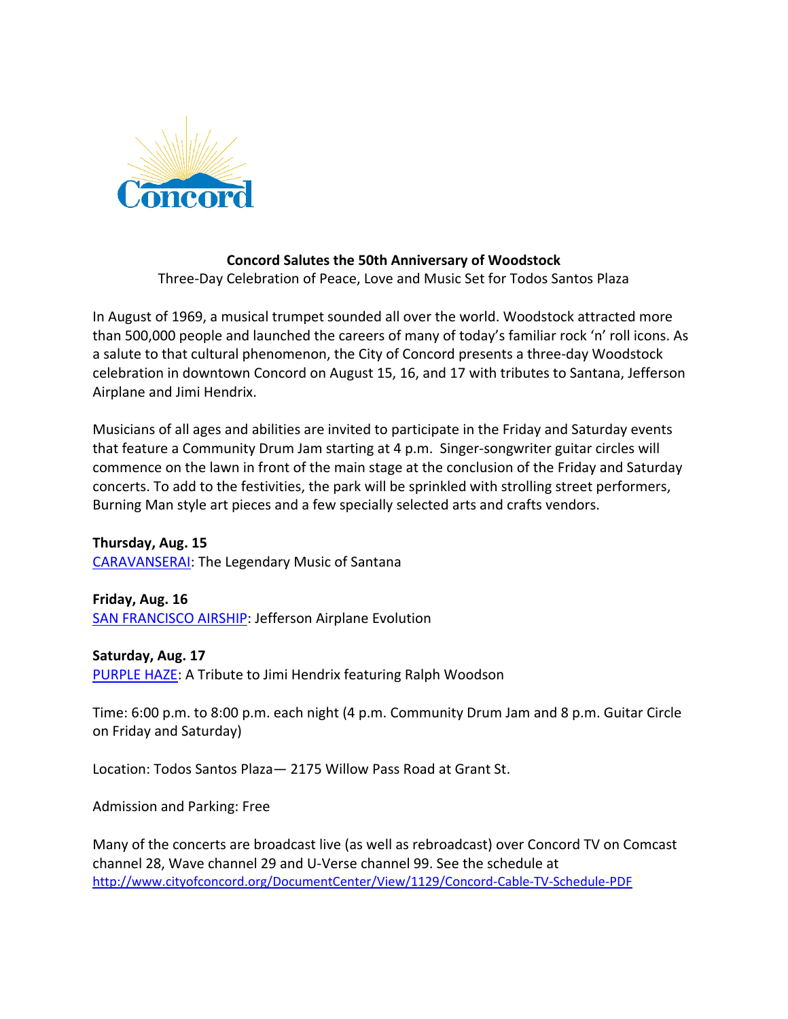

## **Concord Salutes the 50th Anniversary of Woodstock**

Three-Day Celebration of Peace, Love and Music Set for Todos Santos Plaza

In August of 1969, a musical trumpet sounded all over the world. Woodstock attracted more than 500,000 people and launched the careers of many of today's familiar rock 'n' roll icons. As a salute to that cultural phenomenon, the City of Concord presents a three-day Woodstock celebration in downtown Concord on August 15, 16, and 17 with tributes to Santana, Jefferson Airplane and Jimi Hendrix.

Musicians of all ages and abilities are invited to participate in the Friday and Saturday events that feature a Community Drum Jam starting at 4 p.m. Singer-songwriter guitar circles will commence on the lawn in front of the main stage at the conclusion of the Friday and Saturday concerts. To add to the festivities, the park will be sprinkled with strolling street performers, Burning Man style art pieces and a few specially selected arts and crafts vendors.

**Thursday, Aug. 15** [CARAVANSERAI:](http://www.santanatributeband.com/) The Legendary Music of Santana

**Friday, Aug. 16** [SAN FRANCISCO AIRSHIP:](http://www.sfairship.com/) Jefferson Airplane Evolution

**Saturday, Aug. 17** [PURPLE HAZE:](http://www.purplehazeband.com/) A Tribute to Jimi Hendrix featuring Ralph Woodson

Time: 6:00 p.m. to 8:00 p.m. each night (4 p.m. Community Drum Jam and 8 p.m. Guitar Circle on Friday and Saturday)

Location: Todos Santos Plaza— 2175 Willow Pass Road at Grant St.

Admission and Parking: Free

Many of the concerts are broadcast live (as well as rebroadcast) over Concord TV on Comcast channel 28, Wave channel 29 and U-Verse channel 99. See the schedule at <http://www.cityofconcord.org/DocumentCenter/View/1129/Concord-Cable-TV-Schedule-PDF>